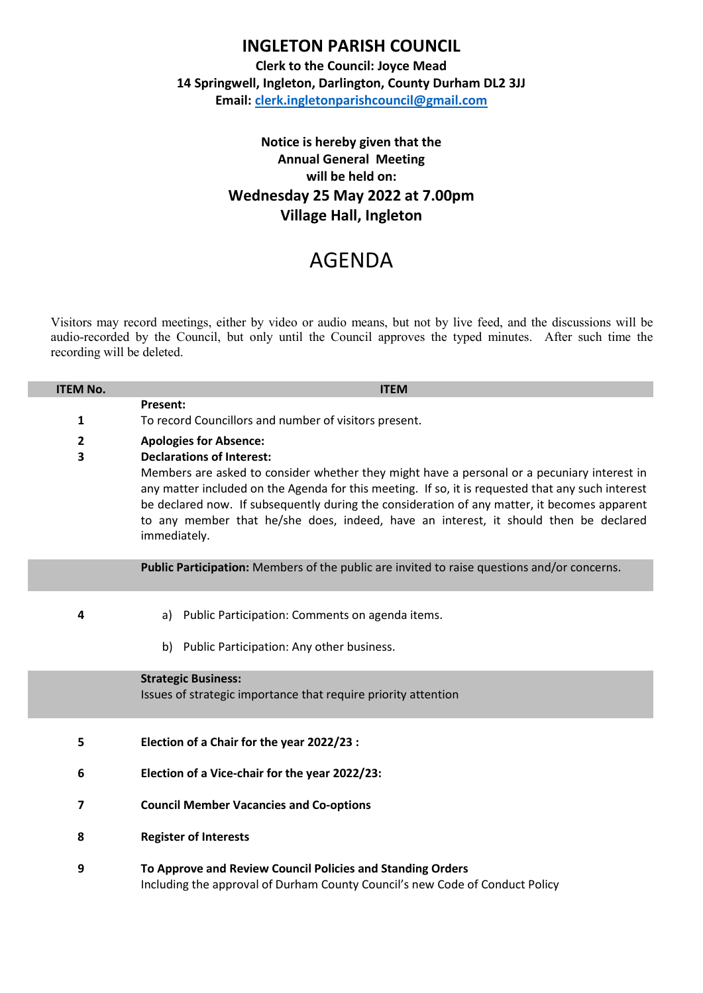## **INGLETON PARISH COUNCIL**

**Clerk to the Council: Joyce Mead 14 Springwell, Ingleton, Darlington, County Durham DL2 3JJ Email: [clerk.ingletonparishcouncil@gmail.com](mailto:clerk.ingletonparishcouncil@gmail.com)**

## **Notice is hereby given that the Annual General Meeting will be held on: Wednesday 25 May 2022 at 7.00pm Village Hall, Ingleton**

## AGENDA

Visitors may record meetings, either by video or audio means, but not by live feed, and the discussions will be audio-recorded by the Council, but only until the Council approves the typed minutes. After such time the recording will be deleted.

| <b>ITEM No.</b>         | <b>ITEM</b>                                                                                                                                                                                                                                                                                                                                                                                              |  |  |
|-------------------------|----------------------------------------------------------------------------------------------------------------------------------------------------------------------------------------------------------------------------------------------------------------------------------------------------------------------------------------------------------------------------------------------------------|--|--|
|                         | Present:                                                                                                                                                                                                                                                                                                                                                                                                 |  |  |
| 1                       | To record Councillors and number of visitors present.                                                                                                                                                                                                                                                                                                                                                    |  |  |
| $\overline{\mathbf{c}}$ | <b>Apologies for Absence:</b>                                                                                                                                                                                                                                                                                                                                                                            |  |  |
| 3                       | <b>Declarations of Interest:</b>                                                                                                                                                                                                                                                                                                                                                                         |  |  |
|                         | Members are asked to consider whether they might have a personal or a pecuniary interest in<br>any matter included on the Agenda for this meeting. If so, it is requested that any such interest<br>be declared now. If subsequently during the consideration of any matter, it becomes apparent<br>to any member that he/she does, indeed, have an interest, it should then be declared<br>immediately. |  |  |
|                         | Public Participation: Members of the public are invited to raise questions and/or concerns.                                                                                                                                                                                                                                                                                                              |  |  |
| 4                       | Public Participation: Comments on agenda items.<br>a)                                                                                                                                                                                                                                                                                                                                                    |  |  |
|                         | Public Participation: Any other business.<br>b)                                                                                                                                                                                                                                                                                                                                                          |  |  |
|                         |                                                                                                                                                                                                                                                                                                                                                                                                          |  |  |
|                         | <b>Strategic Business:</b>                                                                                                                                                                                                                                                                                                                                                                               |  |  |
|                         | Issues of strategic importance that require priority attention                                                                                                                                                                                                                                                                                                                                           |  |  |
| 5                       | Election of a Chair for the year 2022/23 :                                                                                                                                                                                                                                                                                                                                                               |  |  |
|                         |                                                                                                                                                                                                                                                                                                                                                                                                          |  |  |
| 6                       | Election of a Vice-chair for the year 2022/23:                                                                                                                                                                                                                                                                                                                                                           |  |  |
| 7                       | <b>Council Member Vacancies and Co-options</b>                                                                                                                                                                                                                                                                                                                                                           |  |  |
| 8                       | <b>Register of Interests</b>                                                                                                                                                                                                                                                                                                                                                                             |  |  |
| 9                       | To Approve and Review Council Policies and Standing Orders<br>Including the approval of Durham County Council's new Code of Conduct Policy                                                                                                                                                                                                                                                               |  |  |